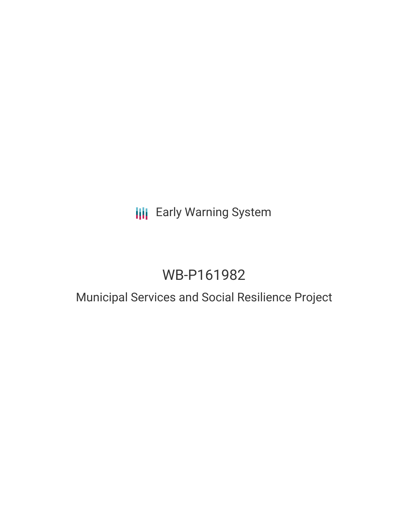## **III** Early Warning System

# WB-P161982

### Municipal Services and Social Resilience Project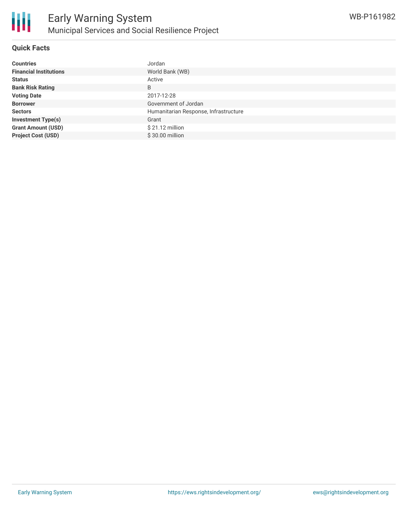

#### **Quick Facts**

| <b>Countries</b>              | Jordan                                |
|-------------------------------|---------------------------------------|
| <b>Financial Institutions</b> | World Bank (WB)                       |
| <b>Status</b>                 | Active                                |
| <b>Bank Risk Rating</b>       | B                                     |
| <b>Voting Date</b>            | 2017-12-28                            |
| <b>Borrower</b>               | Government of Jordan                  |
| <b>Sectors</b>                | Humanitarian Response, Infrastructure |
| <b>Investment Type(s)</b>     | Grant                                 |
| <b>Grant Amount (USD)</b>     | $$21.12$ million                      |
| <b>Project Cost (USD)</b>     | \$30.00 million                       |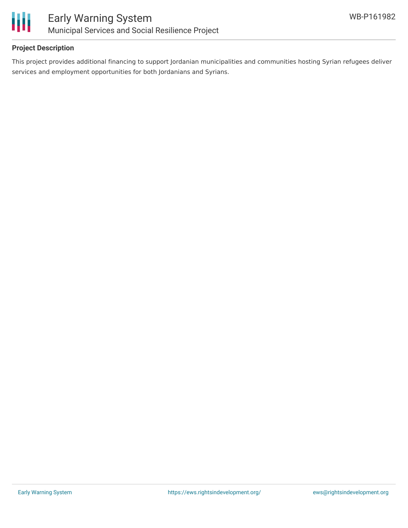

#### **Project Description**

This project provides additional financing to support Jordanian municipalities and communities hosting Syrian refugees deliver services and employment opportunities for both Jordanians and Syrians.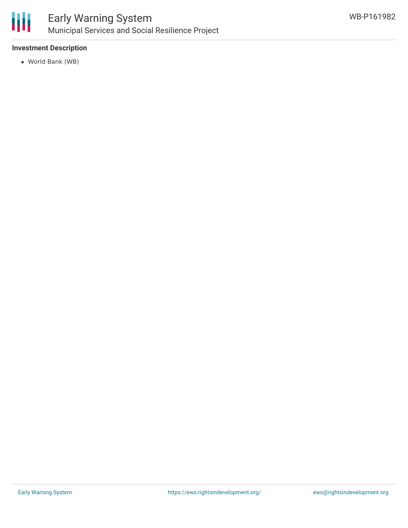

#### **Investment Description**

World Bank (WB)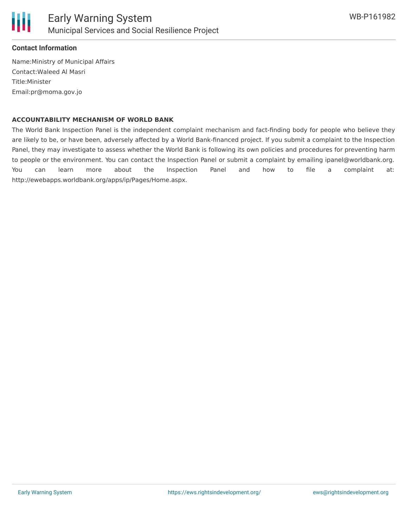

#### **Contact Information**

Name:Ministry of Municipal Affairs Contact:Waleed Al Masri Title:Minister Email:pr@moma.gov.jo

#### **ACCOUNTABILITY MECHANISM OF WORLD BANK**

The World Bank Inspection Panel is the independent complaint mechanism and fact-finding body for people who believe they are likely to be, or have been, adversely affected by a World Bank-financed project. If you submit a complaint to the Inspection Panel, they may investigate to assess whether the World Bank is following its own policies and procedures for preventing harm to people or the environment. You can contact the Inspection Panel or submit a complaint by emailing ipanel@worldbank.org. You can learn more about the Inspection Panel and how to file a complaint at: http://ewebapps.worldbank.org/apps/ip/Pages/Home.aspx.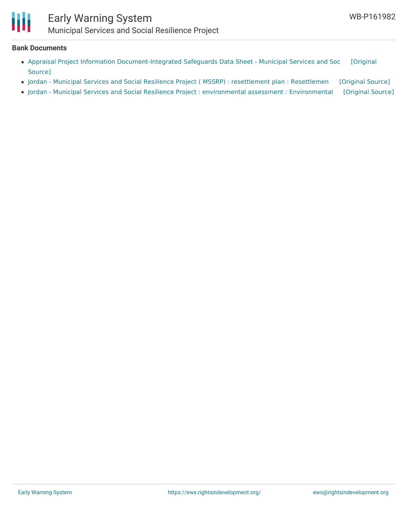

### Early Warning System Municipal Services and Social Resilience Project

#### **Bank Documents**

- Appraisal Project Information [Document-Integrated](https://ewsdata.rightsindevelopment.org/files/documents/82/WB-P161982.pdf) Safeguards Data Sheet Municipal Services and Soc [Original Source]
- Jordan Municipal Services and Social Resilience Project ( MSSRP) : [resettlement](https://ewsdata.rightsindevelopment.org/files/documents/82/WB-P161982_fNmp4KA.pdf) plan : Resettlemen [\[Original](http://documents.worldbank.org/curated/en/593351494422187704/pdf/SFG3343-RP-P161982-Box402907B-PUBLIC-Disclosed-5-9-2017.pdf) Source]
- Jordan Municipal Services and Social Resilience Project : environmental assessment : [Environmental](https://ewsdata.rightsindevelopment.org/files/documents/82/WB-P161982_HXFKUrw.pdf) [\[Original](http://documents.worldbank.org/curated/en/151531494401410891/pdf/SFG3332-EA-P161982-Box402907B-PUBLIC-Disclosed-5-9-2017.pdf) Source]